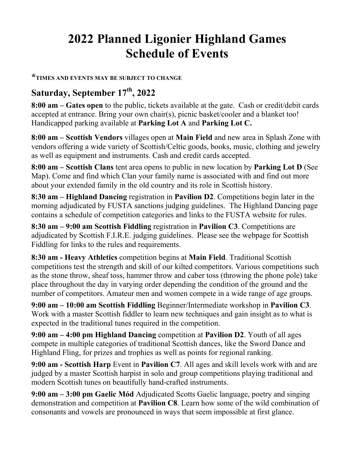## **2022 Planned Ligonier Highland Games Schedule of Events**

## **\*TIMES AND EVENTS MAY BE SUBJECT TO CHANGE**

## **Saturday, September 17th, 2022**

**8:00 am – Gates open** to the public, tickets available at the gate. Cash or credit/debit cards accepted at entrance. Bring your own chair(s), picnic basket/cooler and a blanket too! Handicapped parking available at **Parking Lot A** and **Parking Lot C.**

**8:00 am – Scottish Vendors** villages open at **Main Field** and new area in Splash Zone with vendors offering a wide variety of Scottish/Celtic goods, books, music, clothing and jewelry as well as equipment and instruments. Cash and credit cards accepted.

**8:00 am – Scottish Clans** tent area opens to public in new location by **Parking Lot D** (See Map). Come and find which Clan your family name is associated with and find out more about your extended family in the old country and its role in Scottish history.

**8:30 am – Highland Dancing** registration in **Pavilion D2**. Competitions begin later in the morning adjudicated by FUSTA sanctions judging guidelines. The Highland Dancing page contains a schedule of competition categories and links to the FUSTA website for rules.

**8:30 am – 9:00 am Scottish Fiddling** registration in **Pavilion C3**. Competitions are adjudicated by Scottish F.I.R.E. judging guidelines. Please see the webpage for Scottish Fiddling for links to the rules and requirements.

**8:30 am - Heavy Athletics** competition begins at **Main Field**. Traditional Scottish competitions test the strength and skill of our kilted competitors. Various competitions such as the stone throw, sheaf toss, hammer throw and caber toss (throwing the phone pole) take place throughout the day in varying order depending the condition of the ground and the number of competitors. Amateur men and women compete in a wide range of age groups.

**9:00 am – 10:00 am Scottish Fiddling** Beginner/Intermediate workshop in **Pavilion C3**. Work with a master Scottish fiddler to learn new techniques and gain insight as to what is expected in the traditional tunes required in the competition.

**9:00 am – 4:00 pm Highland Dancing** competition at **Pavilion D2**. Youth of all ages compete in multiple categories of traditional Scottish dances, like the Sword Dance and Highland Fling, for prizes and trophies as well as points for regional ranking.

**9:00 am - Scottish Harp** Event in **Pavilion C7**. All ages and skill levels work with and are judged by a master Scottish harpist in solo and group competitions playing traditional and modern Scottish tunes on beautifully hand-crafted instruments.

**9:00 am – 3:00 pm Gaelic Mód** Adjudicated Scotts Gaelic language, poetry and singing demonstration and competition at **Pavilion C8**. Learn how some of the wild combination of consonants and vowels are pronounced in ways that seem impossible at first glance.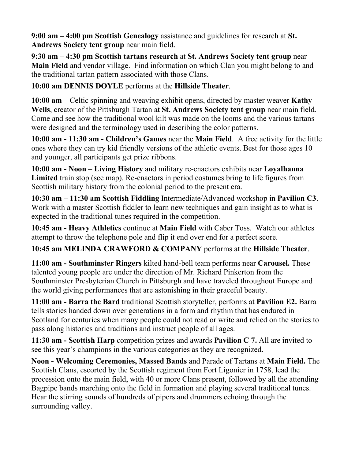**9:00 am – 4:00 pm Scottish Genealogy** assistance and guidelines for research at **St. Andrews Society tent group** near main field.

**9:30 am – 4:30 pm Scottish tartans research** at **St. Andrews Society tent group** near **Main Field** and vendor village. Find information on which Clan you might belong to and the traditional tartan pattern associated with those Clans.

**10:00 am DENNIS DOYLE** performs at the **Hillside Theater**.

**10:00 am –** Celtic spinning and weaving exhibit opens, directed by master weaver **Kathy Wells**, creator of the Pittsburgh Tartan at **St. Andrews Society tent group** near main field. Come and see how the traditional wool kilt was made on the looms and the various tartans were designed and the terminology used in describing the color patterns.

**10:00 am - 11:30 am - Children's Games** near the **Main Field**. A free activity for the little ones where they can try kid friendly versions of the athletic events. Best for those ages 10 and younger, all participants get prize ribbons.

**10:00 am - Noon – Living History** and military re-enactors exhibits near **Loyalhanna Limited** train stop (see map). Re-enactors in period costumes bring to life figures from Scottish military history from the colonial period to the present era.

**10:30 am – 11:30 am Scottish Fiddling** Intermediate/Advanced workshop in **Pavilion C3**. Work with a master Scottish fiddler to learn new techniques and gain insight as to what is expected in the traditional tunes required in the competition.

**10:45 am - Heavy Athletics** continue at **Main Field** with Caber Toss. Watch our athletes attempt to throw the telephone pole and flip it end over end for a perfect score.

**10:45 am MELINDA CRAWFORD & COMPANY** performs at the **Hillside Theater**.

**11:00 am - Southminster Ringers** kilted hand-bell team performs near **Carousel.** These talented young people are under the direction of Mr. Richard Pinkerton from the Southminster Presbyterian Church in Pittsburgh and have traveled throughout Europe and the world giving performances that are astonishing in their graceful beauty.

**11:00 am - Barra the Bard** traditional Scottish storyteller, performs at **Pavilion E2.** Barra tells stories handed down over generations in a form and rhythm that has endured in Scotland for centuries when many people could not read or write and relied on the stories to pass along histories and traditions and instruct people of all ages.

**11:30 am - Scottish Harp** competition prizes and awards **Pavilion C 7.** All are invited to see this year's champions in the various categories as they are recognized.

**Noon - Welcoming Ceremonies, Massed Bands** and Parade of Tartans at **Main Field.** The Scottish Clans, escorted by the Scottish regiment from Fort Ligonier in 1758, lead the procession onto the main field, with 40 or more Clans present, followed by all the attending Bagpipe bands marching onto the field in formation and playing several traditional tunes. Hear the stirring sounds of hundreds of pipers and drummers echoing through the surrounding valley.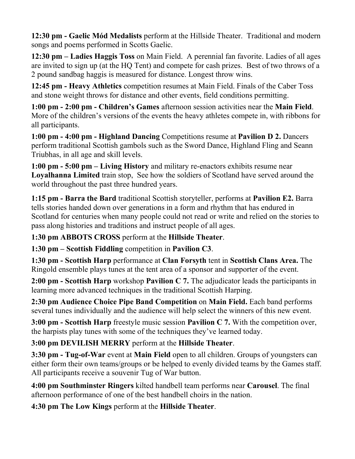**12:30 pm - Gaelic Mód Medalists** perform at the Hillside Theater. Traditional and modern songs and poems performed in Scotts Gaelic.

**12:30 pm – Ladies Haggis Toss** on Main Field. A perennial fan favorite. Ladies of all ages are invited to sign up (at the HQ Tent) and compete for cash prizes. Best of two throws of a 2 pound sandbag haggis is measured for distance. Longest throw wins.

**12:45 pm - Heavy Athletics** competition resumes at Main Field. Finals of the Caber Toss and stone weight throws for distance and other events, field conditions permitting.

**1:00 pm - 2:00 pm - Children's Games** afternoon session activities near the **Main Field**. More of the children's versions of the events the heavy athletes compete in, with ribbons for all participants.

**1:00 pm - 4:00 pm - Highland Dancing** Competitions resume at **Pavilion D 2.** Dancers perform traditional Scottish gambols such as the Sword Dance, Highland Fling and Seann Triubhas, in all age and skill levels.

**1:00 pm - 5:00 pm – Living History** and military re-enactors exhibits resume near **Loyalhanna Limited** train stop, See how the soldiers of Scotland have served around the world throughout the past three hundred years.

**1:15 pm - Barra the Bard** traditional Scottish storyteller, performs at **Pavilion E2.** Barra tells stories handed down over generations in a form and rhythm that has endured in Scotland for centuries when many people could not read or write and relied on the stories to pass along histories and traditions and instruct people of all ages.

**1:30 pm ABBOTS CROSS** perform at the **Hillside Theater**.

**1:30 pm – Scottish Fiddling** competition in **Pavilion C3**.

**1:30 pm - Scottish Harp** performance at **Clan Forsyth** tent in **Scottish Clans Area.** The Ringold ensemble plays tunes at the tent area of a sponsor and supporter of the event.

**2:00 pm - Scottish Harp** workshop **Pavilion C 7.** The adjudicator leads the participants in learning more advanced techniques in the traditional Scottish Harping.

**2:30 pm Audience Choice Pipe Band Competition** on **Main Field.** Each band performs several tunes individually and the audience will help select the winners of this new event.

**3:00 pm - Scottish Harp** freestyle music session **Pavilion C 7.** With the competition over, the harpists play tunes with some of the techniques they've learned today.

**3:00 pm DEVILISH MERRY** perform at the **Hillside Theater**.

**3:30 pm - Tug-of-War** event at **Main Field** open to all children. Groups of youngsters can either form their own teams/groups or be helped to evenly divided teams by the Games staff. All participants receive a souvenir Tug of War button.

**4:00 pm Southminster Ringers** kilted handbell team performs near **Carousel**. The final afternoon performance of one of the best handbell choirs in the nation.

**4:30 pm The Low Kings** perform at the **Hillside Theater**.